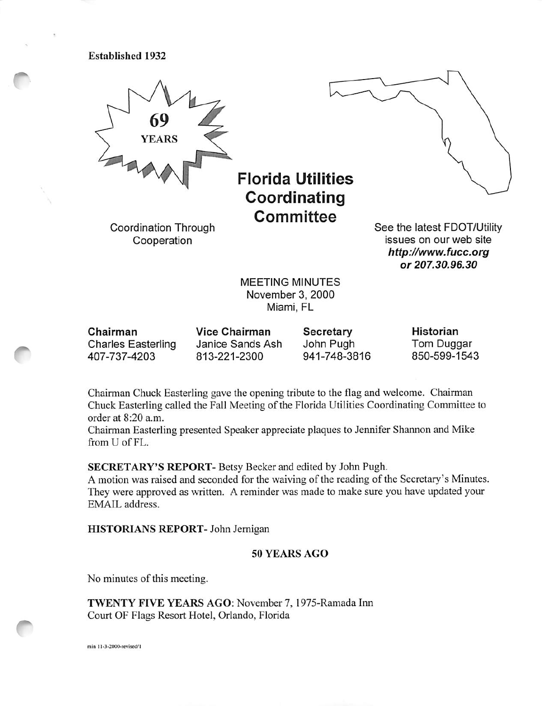Established 1932



Florida Utilities Coordinating **Committee** 

Coordination Through Cooperation



See the latest FDOT/Utility issues on our web site http://www.fucc.org or 207.30.96.30

MEETING MINUTES November 3, 2000 Miami, FL

Chairman Charles Easterling 407-737-4203 Vice Chairman Janice Sands Ash 813-221-2300 Secretary John Pugh 941-748-3816 Historian Tom Duggar 850-599-1543

Chairman Chuck Easterling gave the opening tribute to the flag and welcome. Chairman Chuck Easterling called the Fall Meeting of the Florida Utilities Coordinating Committee to order at 8:20 a.m.

Chairman Easterling presented Speaker appreciate plaques to Jennifer Shannon and Mike from U of FL.

SECRETARY'S REPORT- Betsy Becker and edited by John Pugh.

A motion was raised and seconded for the waiving of the reading of the Secretary's Minutes. They were approved as written. A reminder was made to make sure you have updated your EMAIL address.

HISTORIANS REPORT- John Jemigan

# 50 YEARS AGO

No minutes of this meeting.

TWENTY FIVE YEARS AGO: November 7, 1975-Ramada Inn Court OF Flags Resort Hotel, Orlando, Florida

min 11-3-2000-revised/1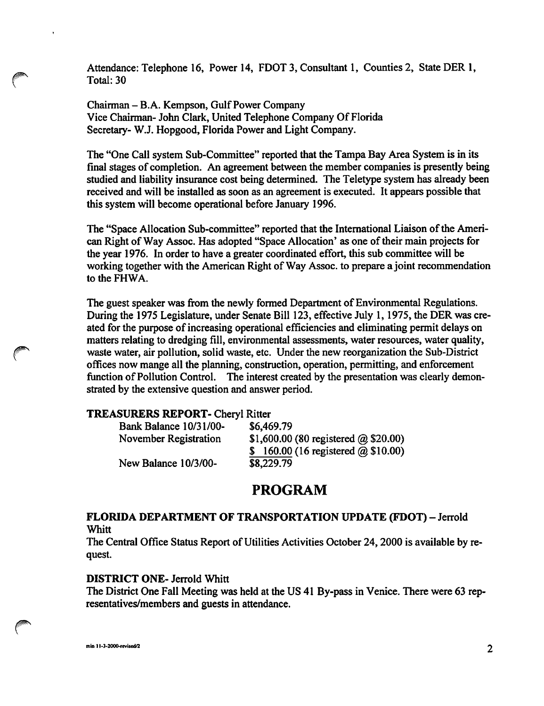Attendance: Telephone 16, Power 14, FDOT 3, Consultant 1, Counties 2, State DER 1, Total: 30

Chairman - B.A. Kempson, Gulf Power Company Vice Chairman- John Clark, United Telephone Company Of Florida Secretary- W.J. Hopgood, Florida Power and Light Company.

The "One Call system Sub-Committee" reported that the Tampa Bay Area System is in its final stages of completion. An agreement between the member companies is presently being studied and liability insurance cost being determined. The Teletype system has already been received and will be installed as soon as an agreement is executed. It appears possible that this system will become operational before January 1996.

The "Space Allocation Sub-committee" reported that the International Liaison of the Ameri can Right of Way Assoc. Has adopted "Space Allocation' as one of their main projects for the year 1976. In order to have a greater coordinated effort, this sub committee will be working together with the American Right of Way Assoc. to prepare a joint recommendation to the FHWA.

The guest speaker was from the newly formed Department of Environmental Regulations. During the 1975 Legislature, under Senate Bill 123, effective July 1,1975, the DER was cre ated for the purpose of increasing operational efficiencies and eliminating permit delays on matters relating to dredging fill, environmental assessments, water resources, water quality, waste water, air pollution, solid waste, etc. Under the new reorganization the Sub-District offices now mange all the planning, construction, operation, permitting, and enforcement function of Pollution Control. The interest created by the presentation was clearly demon strated by the extensive question and answer period.

#### TREASURERS REPORT- Cheryl Ritter

| <b>Bank Balance 10/31/00-</b> | \$6,469.79                                  |
|-------------------------------|---------------------------------------------|
| November Registration         | \$1,600.00 (80 registered $\omega$ \$20.00) |
|                               | \$160.00 (16 registered $\omega$ \$10.00)   |
| New Balance 10/3/00-          | \$8,229.79                                  |

# PROGRAM

#### FLORIDA DEPARTMENT OF TRANSPORTATION UPDATE (FDOT) - Jerrold **Whitt**

The Central Office Status Report of Utilities Activities October 24,2000 is available by re quest.

### DISTRICT ONE- Jerrold Whitt

The District One Fall Meeting was held at the US 41 By-pass in Venice. There were 63 rep resentatives/members and guests in attendance.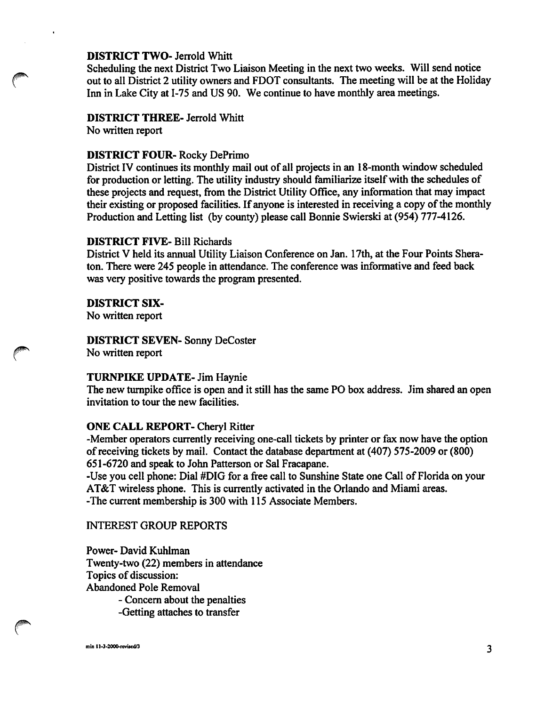#### DISTRICT TWO- Jerrold Whitt

Scheduling the next District Two Liaison Meeting in the next two weeks. Will send notice out to all District 2 utility owners and FDOT consultants. The meeting will be at the Holiday Inn in Lake City at 1-75 and US 90. We continue to have monthly area meetings.

# DISTRICT THREE- Jerrold Whitt

No written report

# DISTRICT FOUR- Rocky DePrimo

District IV continues its monthly mail out of all projects in an 18-month window scheduled for production or letting. The utility industry should familiarize itself with the schedules of these projects and request, from the District Utility Office, any information that may impact their existing or proposed facilities. If anyone is interested in receiving a copy of the monthly Production and Letting list (by county) please call Bonnie Swierski at (954) 777-4126.

# DISTRICT FIVE- Bill Richards

District V held its annual Utility Liaison Conference on Jan. 17th, at the Four Points Shera ton. There were 245 people in attendance. The conference was informative and feed back was very positive towards the program presented.

# DISTRICT six-

No written report

### DISTRICT SEVEN- Sonny DeCoster No written report

#### TURNPIKE UPDATE- Jim Haynie

The new turnpike office is open and it still has the same PO box address. Jim shared an open invitation to tour the new facilities.

# ONE CALL REPORT- Cheryl Ritter

-Member operators currently receiving one-call tickets by printer or fax now have the option of receiving tickets by mail. Contact the database department at (407) 575-2009 or (800) 651-6720 and speak to John Patterson or Sal Fracapane.

-Use you cell phone: Dial #DIG for a free call to Sunshine State one Call of Florida on your AT&T wireless phone. This is currently activated in the Orlando and Miami areas. -The current membership is 300 with 115 Associate Members.

#### INTEREST GROUP REPORTS

Power- David Kuhlman Twenty-two (22) members in attendance Topics of discussion: Abandoned Pole Removal - Concem about the penalties

-Getting attaches to transfer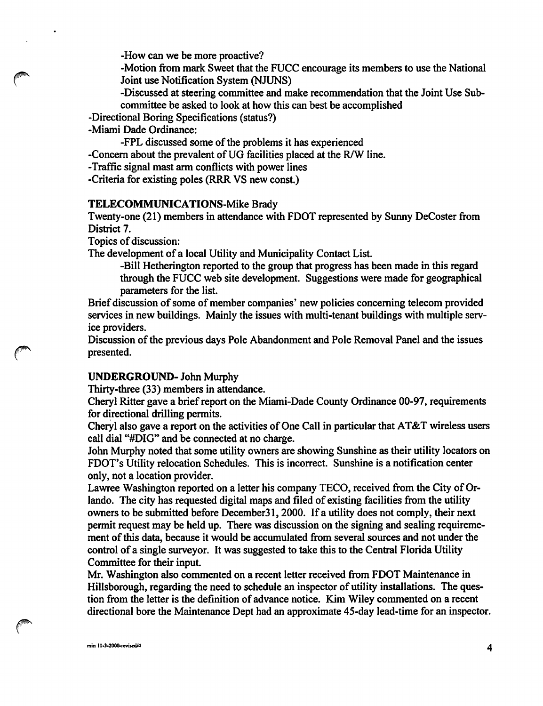-How can we be more proactive?

-Motion from mark Sweet that the FUCC encourage its members to use the National Joint use Notification System (NJUNS)

-Discussed at steering committee and make recommendation that the Joint Use Sub committee be asked to look at how this can best be accomplished

- -Directional Boring Specifications (status?)
- -Miami Dade Ordinance:

-FPL discussed some of the problems it has experienced

-Concern about the prevalent of UG facilities placed at the R/W line.

-Traffic signal mast arm conflicts with power lines

-Criteria for existing poles (RRR VS new const.)

### TELECOMMUNICATIONS-Mike Brady

Twenty-one (21) members in attendance with FDOT represented by Sunny DeCoster from District 7.

Topics of discussion:

The development of a local Utility and Municipality Contact List.

-Bill Hetherington reported to the group that progress has been made in this regard through the FUCC web site development. Suggestions were made for geographical parameters for the list.

Brief discussion of some of member companies' new policies concerning telecom provided services in new buildings. Mainly the issues with multi-tenant buildings with multiple serv ice providers.

Discussion of the previous days Pole Abandonment and Pole Removal Panel and the issues presented.

# UNDERGROUND- John Murphy

Thirty-three (33) members in attendance.

Cheryl Ritter gave a brief report on the Miami-Dade County Ordinance 00-97, requirements for directional drilling permits.

Cheryl also gave a report on the activities of One Call in particular that AT&T wireless users call dial "#DIG" and be connected at no charge.

John Murphy noted that some utility owners are showing Sunshine as their utility locators on FDOT's Utility relocation Schedules. This is incorrect. Sunshine is a notification center only, not a location provider.

Lawree Washington reported on a letter his company TECO, received from the City of Or lando. The city has requested digital maps and filed of existing facilities from the utility owners to be submitted before December31,2000. If a utility does not comply, their next permit request may be held up. There was discussion on the signing and sealing requiremement of this data, because it would be accumulated from several sources and not under the control of a single surveyor. It was suggested to take this to the Central Florida Utility Committee for their input.

Mr. Washington also commented on a recent letter received from FDOT Maintenance in Hillsborough, regarding the need to schedule an inspector of utility installations. The ques tion from the letter is the definition of advance notice. Kim Wiley commented on a recent directional bore the Maintenance Dept had an approximate 45-day lead-time for an inspector.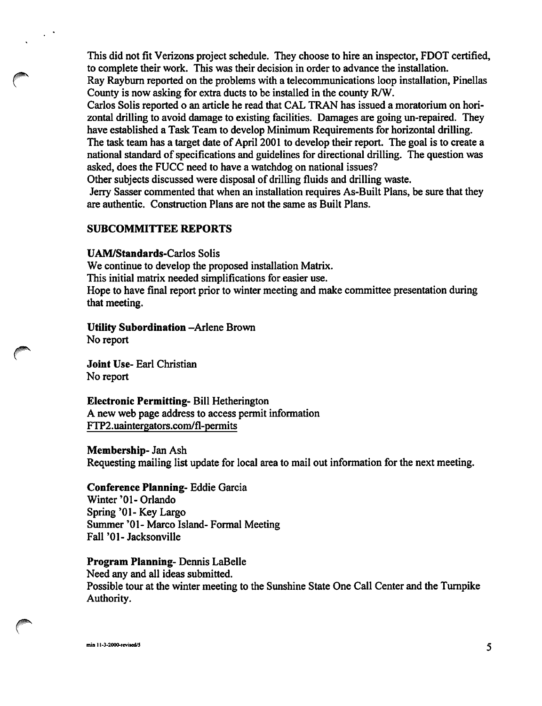This did not fit Verizons project schedule. They choose to hire an inspector, FDOT certified, to complete their work. This was their decision in order to advance the installation.

Ray Raybum reported on the problems with a telecommunications loop installation, Pinellas County is now asking for extra ducts to be installed in the county R/W.

Carlos Solis reported o an article he read that CAL TRAN has issued a moratorium on hori zontal drilling to avoid damage to existing facilities. Damages are going un-repaired. They have established a Task Team to develop Minimum Requirements for horizontal drilling.

The task team has a target date of April 2001 to develop their report. The goal is to create a national standard of specifications and guidelines for directional drilling. The question was asked, does the FUCC need to have a watchdog on national issues?

Other subjects discussed were disposal of drilling fiuids and drilling waste.

Jerry Sasser commented that when an installation requires As-Built Plans, be sure that they are authentic. Construction Plans are not the same as Built Plans.

# SUBCOMMITTEE REPORTS

UAM/Standards-Carlos Solis

We continue to develop the proposed installation Matrix. This initial matrix needed simplifications for easier use. Hope to have final report prior to winter meeting and make committee presentation during that meeting.

Utility Subordination -Arlene Brown No report

Joint Use- Earl Christian No report

Electronic Permitting- Bill Hetherington

A new web page address to access permit information FTP2.uaintergators.com/fl-permits

Membership- Jan Ash

Requesting mailing list update for local area to mail out information for the next meeting.

# Conference Planning- Eddie Garcia

Winter '01- Orlando Spring '01- Key Largo Summer '01- Marco Island- Formal Meeting Fall '01- Jacksonville

# Program Planning- Dennis LaBelle

Need any and all ideas submitted. Possible tour at the winter meeting to the Sunshine State One Call Center and the Turnpike Authority.

min 11-3-2000-revised/5